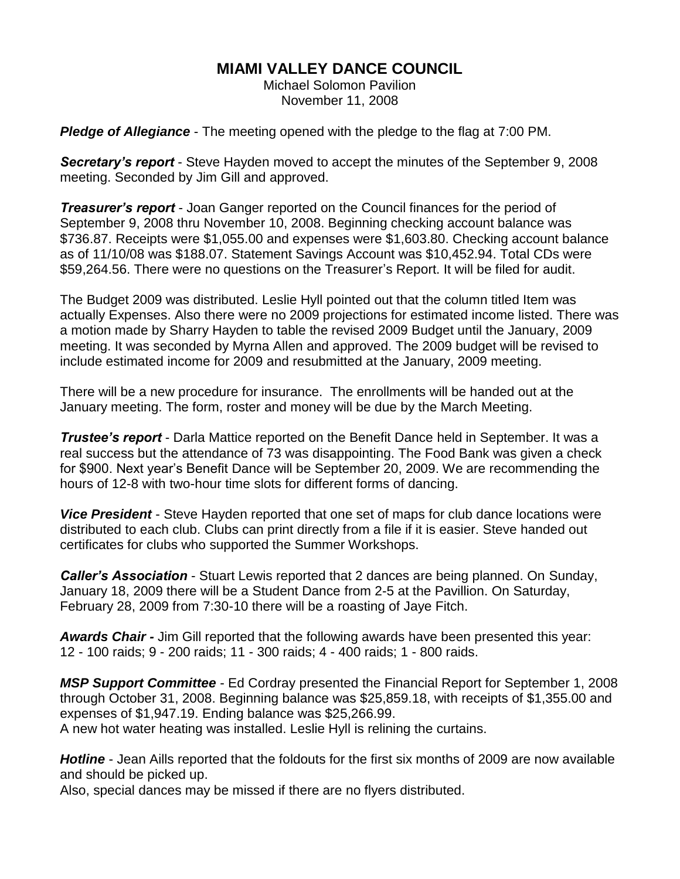# **MIAMI VALLEY DANCE COUNCIL**

Michael Solomon Pavilion November 11, 2008

*Pledge of Allegiance* - The meeting opened with the pledge to the flag at 7:00 PM.

*Secretary's report* - Steve Hayden moved to accept the minutes of the September 9, 2008 meeting. Seconded by Jim Gill and approved.

*Treasurer's report* - Joan Ganger reported on the Council finances for the period of September 9, 2008 thru November 10, 2008. Beginning checking account balance was \$736.87. Receipts were \$1,055.00 and expenses were \$1,603.80. Checking account balance as of 11/10/08 was \$188.07. Statement Savings Account was \$10,452.94. Total CDs were \$59,264.56. There were no questions on the Treasurer's Report. It will be filed for audit.

The Budget 2009 was distributed. Leslie Hyll pointed out that the column titled Item was actually Expenses. Also there were no 2009 projections for estimated income listed. There was a motion made by Sharry Hayden to table the revised 2009 Budget until the January, 2009 meeting. It was seconded by Myrna Allen and approved. The 2009 budget will be revised to include estimated income for 2009 and resubmitted at the January, 2009 meeting.

There will be a new procedure for insurance. The enrollments will be handed out at the January meeting. The form, roster and money will be due by the March Meeting.

*Trustee's report* - Darla Mattice reported on the Benefit Dance held in September. It was a real success but the attendance of 73 was disappointing. The Food Bank was given a check for \$900. Next year's Benefit Dance will be September 20, 2009. We are recommending the hours of 12-8 with two-hour time slots for different forms of dancing.

*Vice President* - Steve Hayden reported that one set of maps for club dance locations were distributed to each club. Clubs can print directly from a file if it is easier. Steve handed out certificates for clubs who supported the Summer Workshops.

*Caller's Association* - Stuart Lewis reported that 2 dances are being planned. On Sunday, January 18, 2009 there will be a Student Dance from 2-5 at the Pavillion. On Saturday, February 28, 2009 from 7:30-10 there will be a roasting of Jaye Fitch.

*Awards Chair -* Jim Gill reported that the following awards have been presented this year: 12 - 100 raids; 9 - 200 raids; 11 - 300 raids; 4 - 400 raids; 1 - 800 raids.

*MSP Support Committee* - Ed Cordray presented the Financial Report for September 1, 2008 through October 31, 2008. Beginning balance was \$25,859.18, with receipts of \$1,355.00 and expenses of \$1,947.19. Ending balance was \$25,266.99. A new hot water heating was installed. Leslie Hyll is relining the curtains.

*Hotline* - Jean Aills reported that the foldouts for the first six months of 2009 are now available and should be picked up.

Also, special dances may be missed if there are no flyers distributed.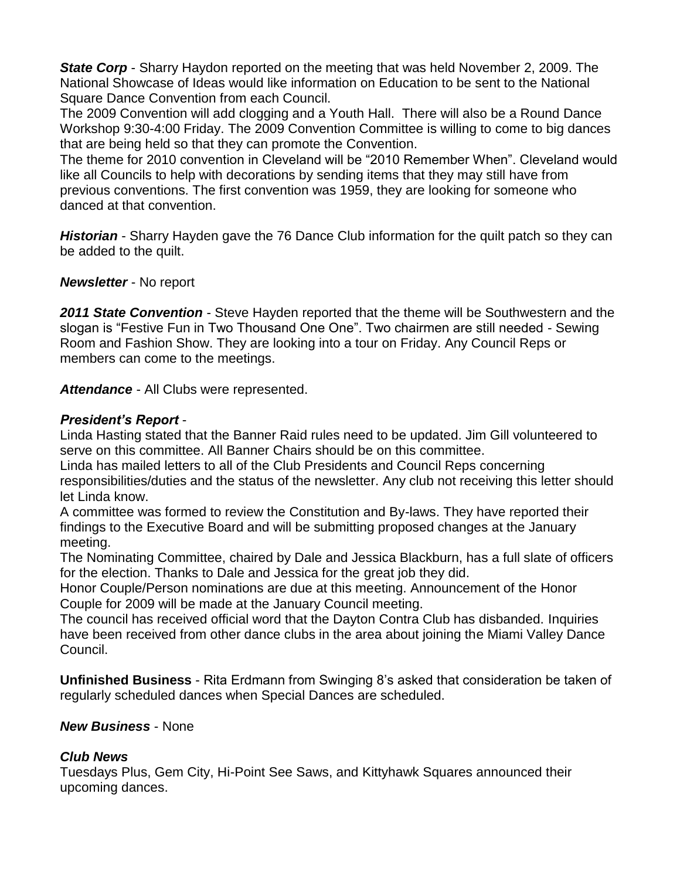**State Corp** - Sharry Haydon reported on the meeting that was held November 2, 2009. The National Showcase of Ideas would like information on Education to be sent to the National Square Dance Convention from each Council.

The 2009 Convention will add clogging and a Youth Hall. There will also be a Round Dance Workshop 9:30-4:00 Friday. The 2009 Convention Committee is willing to come to big dances that are being held so that they can promote the Convention.

The theme for 2010 convention in Cleveland will be "2010 Remember When". Cleveland would like all Councils to help with decorations by sending items that they may still have from previous conventions. The first convention was 1959, they are looking for someone who danced at that convention.

*Historian* - Sharry Hayden gave the 76 Dance Club information for the quilt patch so they can be added to the quilt.

### *Newsletter* - No report

*2011 State Convention* - Steve Hayden reported that the theme will be Southwestern and the slogan is "Festive Fun in Two Thousand One One". Two chairmen are still needed - Sewing Room and Fashion Show. They are looking into a tour on Friday. Any Council Reps or members can come to the meetings.

*Attendance* - All Clubs were represented.

## *President's Report* -

Linda Hasting stated that the Banner Raid rules need to be updated. Jim Gill volunteered to serve on this committee. All Banner Chairs should be on this committee.

Linda has mailed letters to all of the Club Presidents and Council Reps concerning responsibilities/duties and the status of the newsletter. Any club not receiving this letter should let Linda know.

A committee was formed to review the Constitution and By-laws. They have reported their findings to the Executive Board and will be submitting proposed changes at the January meeting.

The Nominating Committee, chaired by Dale and Jessica Blackburn, has a full slate of officers for the election. Thanks to Dale and Jessica for the great job they did.

Honor Couple/Person nominations are due at this meeting. Announcement of the Honor Couple for 2009 will be made at the January Council meeting.

The council has received official word that the Dayton Contra Club has disbanded. Inquiries have been received from other dance clubs in the area about joining the Miami Valley Dance Council.

**Unfinished Business** - Rita Erdmann from Swinging 8's asked that consideration be taken of regularly scheduled dances when Special Dances are scheduled.

## *New Business* - None

## *Club News*

Tuesdays Plus, Gem City, Hi-Point See Saws, and Kittyhawk Squares announced their upcoming dances.